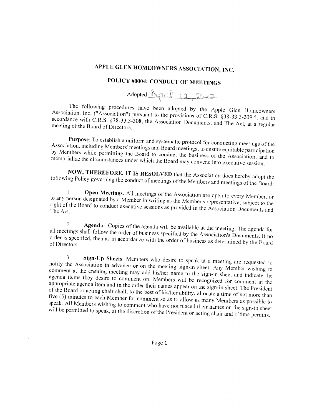## APPLE GLEN HOMEOWNERS ASSOCIATION, INC.

## POLICY #0004: CONDUCT OF MEETINGS

Adopted <u>April 12, 2022</u>

The following procedures have been adopted by the Apple Glen Homeowners Association, Inc. ("Association") pursuant to the provisions of C.R.S. §38-33.3-209.5, and in accordance with C.R.S. §38-33.3-308, the Association Documents, and The Act, at a regular meeting of the Board of Directors.

Purpose: To establish a uniform and systematic protocol for conducting meetings of the Association, including Members' meetings and Board meetings; to ensure equitable participation by Members while permitting the Board to conduct the business of the Association; and to memorialize the circumstances under which the Board may convene into executive session.

NOW, THEREFORE, IT IS RESOLVED that the Association does hereby adopt the following Policy governing the conduct of meetings of the Members and meetings of the Board:

Open Meetings. All meetings of the Association are open to every Member, or  $\mathbf{1}$ . to any person designated by a Member in writing as the Member's representative, subject to the right of the Board to conduct executive sessions as provided in the Association Documents and The Act.

Agenda. Copies of the agenda will be available at the meeting. The agenda for 2. all meetings shall follow the order of business specified by the Association's Documents. If no order is specified, then as in accordance with the order of business as determined by the Board of Directors.

Sign-Up Sheets. Members who desire to speak at a meeting are requested to 3. notify the Association in advance or on the meeting sign-in sheet. Any Member wishing to comment at the ensuing meeting may add his/her name to the sign-in sheet and indicate the agenda items they desire to comment on. Members will be recognized for comment at the appropriate agenda item and in the order their names appear on the sign-in sheet. The President of the Board or acting chair shall, to the best of his/her ability, allocate a time of not more than five (5) minutes to each Member for comment so as to allow as many Members as possible to speak. All Members wishing to comment who have not placed their names on the sign-in sheet will be permitted to speak, at the discretion of the President or acting chair and if time permits.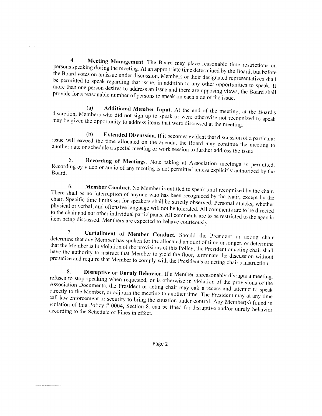Meeting Management. The Board may place reasonable time restrictions on  $4.$ persons speaking during the meeting. At an appropriate time determined by the Board, but before the Board votes on an issue under discussion, Members or their designated representatives shall be permitted to speak regarding that issue, in addition to any other opportunities to speak. If more than one person desires to address an issue and there are opposing views, the Board shall provide for a reasonable number of persons to speak on each side of the issue.

Additional Member Input. At the end of the meeting, at the Board's (a) discretion, Members who did not sign up to speak or were otherwise not recognized to speak may be given the opportunity to address items that were discussed at the meeting.

Extended Discussion. If it becomes evident that discussion of a particular  $(b)$ issue will exceed the time allocated on the agenda, the Board may continue the meeting to another date or schedule a special meeting or work session to further address the issue.

5. Recording of Meetings. Note taking at Association meetings is permitted. Recording by video or audio of any meeting is not permitted unless explicitly authorized by the Board.

Member Conduct. No Member is entitled to speak until recognized by the chair. 6. There shall be no interruption of anyone who has been recognized by the chair, except by the chair. Specific time limits set for speakers shall be strictly observed. Personal attacks, whether physical or verbal, and offensive language will not be tolerated. All comments are to be directed to the chair and not other individual participants. All comments are to be restricted to the agenda item being discussed. Members are expected to behave courteously.

Curtailment of Member Conduct. Should the President or acting chair  $7<sub>1</sub>$ determine that any Member has spoken for the allocated amount of time or longer, or determine that the Member is in violation of the provisions of this Policy, the President or acting chair shall have the authority to instruct that Member to yield the floor, terminate the discussion without prejudice and require that Member to comply with the President's or acting chair's instruction.

Disruptive or Unruly Behavior. If a Member unreasonably disrupts a meeting, 8. refuses to stop speaking when requested, or is otherwise in violation of the provisions of the Association Documents, the President or acting chair may call a recess and attempt to speak directly to the Member, or adjourn the meeting to another time. The President may at any time call law enforcement or security to bring the situation under control. Any Member(s) found in violation of this Policy # 0004, Section 8, can be fined for disruptive and/or unruly behavior according to the Schedule of Fines in effect.